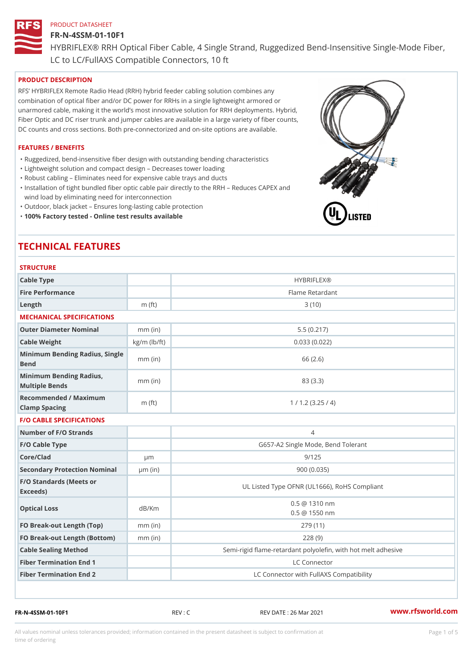#### FR-N-4SSM-01-10F1

HYBRIFLEX® RRH Optical Fiber Cable, 4 Single Strand, Ruggedized Be

LC to LC/FullAXS Compatible Connectors, 10 ft

#### PRODUCT DESCRIPTION

RFS HYBRIFLEX Remote Radio Head (RRH) hybrid feeder cabling solution combines any combination of optical fiber and/or DC power for RRHs in a single lightweight armored or unarmored cable, making it the world s most innovative solution for RRH deployments. Hybrid, Fiber Optic and DC riser trunk and jumper cables are available in a large variety of fiber counts, DC counts and cross sections. Both pre-connectorized and on-site options are available.

#### FEATURES / BENEFITS

"Ruggedized, bend-insensitive fiber design with outstanding bending characteristics

- "Lightweight solution and compact design Decreases tower loading
- "Robust cabling Eliminates need for expensive cable trays and ducts
- "Installation of tight bundled fiber optic cable pair directly to the RRH Aeduces CAPEX and wind load by eliminating need for interconnection
- "Outdoor, black jacket Ensures long-lasting cable protection
- "100% Factory tested Online test results available

# TECHNICAL FEATURES

STRUCTURE

| 0   N 0 0   0 N L                                 |                    |                                                         |
|---------------------------------------------------|--------------------|---------------------------------------------------------|
| Cable Type                                        |                    | <b>HYBRIFLEX®</b>                                       |
| Fire Performance                                  |                    | Flame Retardant                                         |
| Length                                            | $m$ (ft)           | 3(10)                                                   |
| MECHANICAL SPECIFICATIONS                         |                    |                                                         |
| Outer Diameter Nominal                            | $mm$ (in)          | 5.5(0.217)                                              |
| Cable Weight                                      | $kg/m$ ( $lb/ft$ ) | 0.033(0.022)                                            |
| Minimum Bending Radius, Single<br>Bend            |                    | 66 (2.6)                                                |
| Minimum Bending Radius, mm (in)<br>Multiple Bends |                    | 83 (3.3)                                                |
| Recommended / Maximum<br>Clamp Spacing            | $m$ (ft)           | 1 / 1.2 (3.25 / 4)                                      |
| <b>F/O CABLE SPECIFICATIONS</b>                   |                    |                                                         |
| Number of F/O Strands                             |                    | $\overline{4}$                                          |
| F/O Cable Type                                    |                    | G657-A2 Single Mode, Bend Tolerant                      |
| Core/Clad                                         | $\mu$ m            | 9/125                                                   |
| Secondary Protection Nomimal(in)                  |                    | 900(0.035)                                              |
| F/O Standards (Meets or<br>Exceeds)               |                    | UL Listed Type OFNR (UL1666), RoHS Compliant            |
| Optical Loss                                      | dB/Km              | $0.5 \t@ 1310 nm$<br>$0.5 \t@ 1550 nm$                  |
| FO Break-out Length (Top)mm (in)                  |                    | 279 (11)                                                |
| FO Break-out Length (Bottomm) (in)                |                    | 228(9)                                                  |
| Cable Sealing Method                              |                    | Semi-rigid flame-retardant polyolefin, with hot melt ad |
| Fiber Termination End                             |                    | LC Connector                                            |
| Fiber Termination End 2                           |                    | LC Connector with FullAXS Compatibility                 |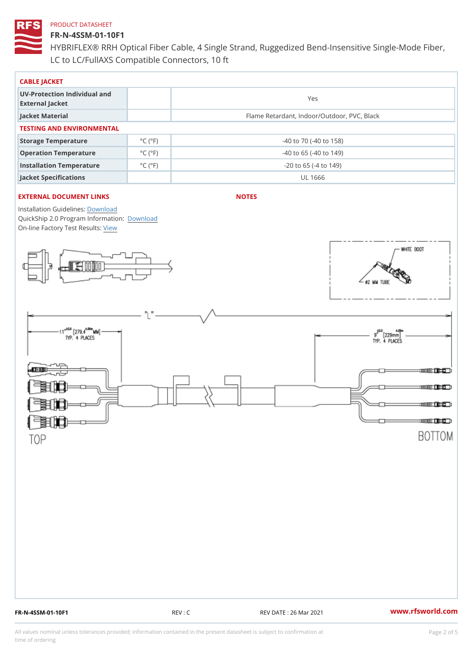# FR-N-4SSM-01-10F1

HYBRIFLEX® RRH Optical Fiber Cable, 4 Single Strand, Ruggedized Be LC to LC/FullAXS Compatible Connectors, 10 ft

| CABLE JACKET                                    |                             |                                             |  |  |  |  |
|-------------------------------------------------|-----------------------------|---------------------------------------------|--|--|--|--|
| UV-Protection Individual and<br>External Jacket |                             | Yes                                         |  |  |  |  |
| Jacket Material                                 |                             | Flame Retardant, Indoor/Outdoor, PVC, Black |  |  |  |  |
| TESTING AND ENVIRONMENTAL                       |                             |                                             |  |  |  |  |
| Storage Temperature                             | $^{\circ}$ C ( $^{\circ}$ F | $-40$ to $70$ ( $-40$ to $158$ )            |  |  |  |  |
| Operation Temperature                           | $^{\circ}$ C ( $^{\circ}$ F | $-40$ to 65 ( $-40$ to 149)                 |  |  |  |  |
| Installation Temperature                        | $^{\circ}$ C ( $^{\circ}$ F | $-20$ to 65 ( $-4$ to 149)                  |  |  |  |  |
| Jacket Specifications                           |                             | UL 1666                                     |  |  |  |  |

# EXTERNAL DOCUMENT LINKS

NOTES

Installation Guidelwinessad QuickShip 2.0 Program [Informa](http://www.rfsworld.com/images/hybriflex/quickship_program_2.pdf)tion: On-line Factory Te[s](https://www.rfsworld.com/pictures/userfiles/programs/AAST Latest Version.zip)teResults: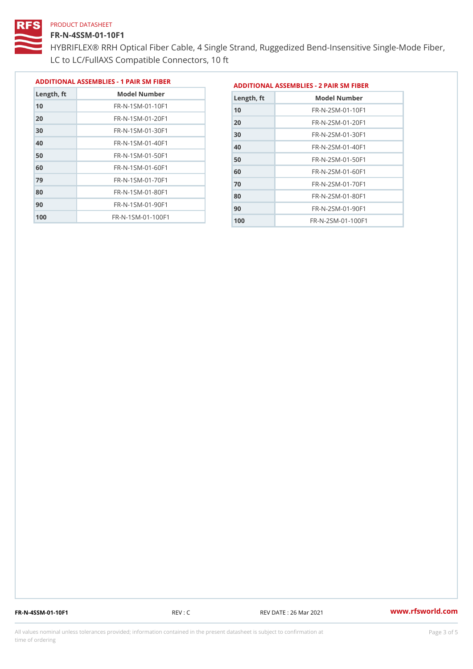## FR-N-4SSM-01-10F1

 FR-N-1SM-01-70F1 FR-N-1SM-01-80F1 FR-N-1SM-01-90F1 FR-N-1SM-01-100F1

HYBRIFLEX® RRH Optical Fiber Cable, 4 Single Strand, Ruggedized Be LC to LC/FullAXS Compatible Connectors, 10 ft

> FR-N-2SM-01-70F1 FR-N-2SM-01-80F1 FR-N-2SM-01-90F1 FR-N-2SM-01-100F1

|               |                                |               | ADDITIONAL ASSEMBLIES - 1 PAIR SM FIBERDDITIONAL ASSEMBLIES - 2 PAIR SM FIBER |
|---------------|--------------------------------|---------------|-------------------------------------------------------------------------------|
| $L$ ength, ft | Model Number                   | $L$ ength, ft | Model Number                                                                  |
| 10            | $FR - N - 1$ S M - 01 - 10 F 1 | 10            | $FR - N - 2 SM - 01 - 10F1$                                                   |
| 20            | $FR - N - 1$ S M - 01 - 20 F 1 | 20            | $FR - N - 2 SM - 01 - 20 F1$                                                  |
| 30            | FR-N-1SM-01-30F1               | 30            | $FR - N - 2 SM - 01 - 30 F1$                                                  |
| 40            | FR-N-1SM-01-40F1               | 40            | $FR - N - 2 SM - 01 - 40 F1$                                                  |
| 50            | $FR - N - 1$ S M - 01 - 50 F 1 | 50            | $FR - N - 2 SM - 01 - 50 F1$                                                  |
| 60            | FR-N-1SM-01-60F1               | 60            | $FR - N - 2 SM - 01 - 60 F1$                                                  |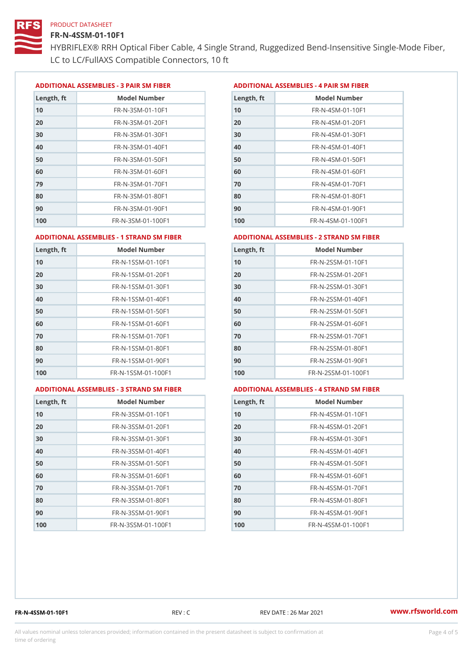#### FR-N-4SSM-01-10F1

HYBRIFLEX® RRH Optical Fiber Cable, 4 Single Strand, Ruggedized Be LC to LC/FullAXS Compatible Connectors, 10 ft

ADDITIONAL ASSEMBLIES - 3 PAIR SM FIBERED DITIONAL ASSEMBLIES - 4 PAIR SM FIBER

| Length, ft | Model Number                  |
|------------|-------------------------------|
| 10         | $FR - N - 3 S M - 01 - 10 F1$ |
| 20         | FR-N-3SM-01-20F1              |
| 30         | FR-N-3SM-01-30F1              |
| 40         | FR-N-3SM-01-40F1              |
| 50         | $FR - N - 3 S M - 01 - 50 F1$ |
| 60         | $FR - N - 3 S M - 01 - 60 F1$ |
| 79         | FR-N-3SM-01-70F1              |
| 80         | FR-N-3SM-01-80F1              |
| 90         | FR-N-3SM-01-90F1              |
| 100        | FR-N-3SM-01-100F1             |

| Length, ft | Model Number                   |
|------------|--------------------------------|
| 10         | FR-N-4SM-01-10F1               |
| 20         | $FR - N - 4 SM - 01 - 20 F1$   |
| 30         | $FR - N - 4 S M - 01 - 30 F1$  |
| 40         | FR-N-4SM-01-40F1               |
| 50         | $FR - N - 4 SM - 01 - 50 F1$   |
| 60         | $FR - N - 4 SM - 01 - 60 F1$   |
| 70         | $FR - N - 4 SM - 01 - 70 F1$   |
| 80         | $FR - N - 4 SM - 01 - 80 F1$   |
| 90         | $FR - N - 4 SM - 01 - 90 F1$   |
| 100        | $FR - N - 4 S M - 01 - 100 F1$ |

#### ADDITIONAL ASSEMBLIES - 1 STRAND SM FABSDRTIONAL ASSEMBLIES - 2 STRAND SM FIBER

| 10<br>FR-N-1SSM-01-10F1<br>10<br>FR-N-2SSM-01-10F1<br>20<br>$FR - N - 2SSM - 01 - 20F1$<br>FR-N-1SSM-01-20F1<br>30<br>FR-N-1SSM-01-30F1<br>30<br>FR-N-2SSM-01-30F1 |  |
|--------------------------------------------------------------------------------------------------------------------------------------------------------------------|--|
| 20                                                                                                                                                                 |  |
|                                                                                                                                                                    |  |
|                                                                                                                                                                    |  |
| 40<br>FR-N-1SSM-01-40F1<br>40<br>FR-N-2SSM-01-40F1                                                                                                                 |  |
| 50<br>50<br>FR-N-1SSM-01-50F1<br>FR-N-2SSM-01-50F1                                                                                                                 |  |
| 60<br>$FR - N - 1$ S S M - 01 - 60 F 1<br>60<br>$FR - N - 2SSM - 01 - 60F1$                                                                                        |  |
| 70<br>70<br>$FR - N - 2SSM - 01 - 70F1$<br>FR-N-1SSM-01-70F1                                                                                                       |  |
| 80<br>FR-N-1SSM-01-80F1<br>80<br>FR-N-2SSM-01-80F1                                                                                                                 |  |
| 90<br>FR-N-1SSM-01-90F1<br>90<br>FR-N-2SSM-01-90F1                                                                                                                 |  |
| 100<br>$FR - N - 1$ S S M - 01 - 100 F 1<br>100<br>$FR - N - 2$ S S M - 01 - 100 F 1                                                                               |  |

#### ADDITIONAL ASSEMBLIES - 3 STRAND SM FABSDRTIONAL ASSEMBLIES - 4 STRAND SM FIBER

| L ASSEMBLIES - 4 STRAND SM FIE |  |  |  |
|--------------------------------|--|--|--|
|                                |  |  |  |

| Length, ft | Model Number                    |
|------------|---------------------------------|
| 10         | $FR - N - 3 S S M - 01 - 10 F1$ |
| 20         | $FR - N - 3 S S M - 01 - 20 F1$ |
| 30         | FR-N-3SSM-01-30F1               |
| 40         | FR-N-3SSM-01-40F1               |
| 50         | FR-N-3SSM-01-50F1               |
| 60         | $FR - N - 3 S S M - 01 - 60 F1$ |
| 70         | $FR - N - 3 S S M - 01 - 70 F1$ |
| 80         | $FR - N - 3 S S M - 01 - 80 F1$ |
| 90         | FR-N-3SSM-01-90F1               |
| 100        | FR-N-3SSM-01-100F1              |

| Length, ft | Model Number                     |
|------------|----------------------------------|
| 10         | $FR - N - 4$ S S M - 01 - 10 F 1 |
| 20         | $FR - N - 4$ S S M - 01 - 20 F 1 |
| 30         | FR-N-4SSM-01-30F1                |
| 40         | $FR - N - 4$ S S M - 01 - 40 F 1 |
| 50         | $FR - N - 4$ S S M - 01 - 50 F 1 |
| 60         | FR-N-4SSM-01-60F1                |
| 70         | $FR - N - 4$ S S M - 01 - 70 F 1 |
| 80         | FR-N-4SSM-01-80F1                |
| 90         | $FR - N - 4$ S S M - 01 - 90 F 1 |
| 100        | FR-N-4SSM-01-100F1               |

FR-N-4SSM-01-10F1 REV : C REV DATE : 26 Mar 2021 [www.](https://www.rfsworld.com)rfsworld.com

All values nominal unless tolerances provided; information contained in the present datasheet is subject to Pcapgnéig4m ssti time of ordering